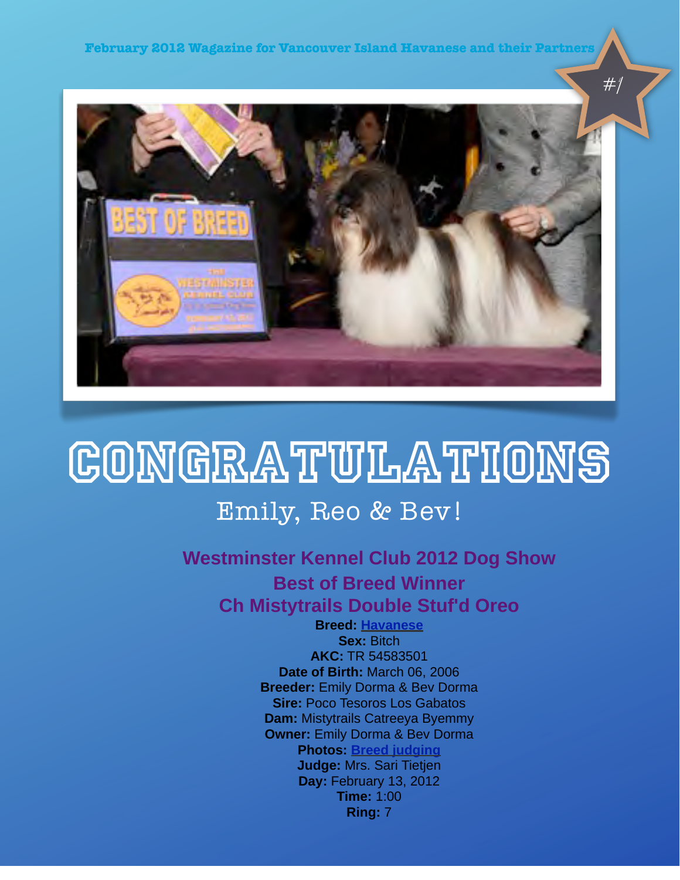

# **CONGRATULATIONS**

### Emily, Reo & Bev!

### **Westminster Kennel Club 2012 Dog Show Best of Breed Winner Ch Mistytrails Double Stuf'd Oreo**

**Breed: [Havanese](http://www.westminsterkennelclub.org/breedinformation/toy/havanese.html) Sex:** Bitch **AKC:** TR 54583501 **Date of Birth:** March 06, 2006 **Breeder:** Emily Dorma & Bev Dorma **Sire:** Poco Tesoros Los Gabatos **Dam:** Mistytrails Catreeya Byemmy **Owner:** Emily Dorma & Bev Dorma **Photos: [Breed judging](http://www.westminsterkennelclub.org/2012/photos/breed/TR54583501.html) Judge:** Mrs. Sari Tietjen **Day:** February 13, 2012 **Time:** 1:00 **Ring:** 7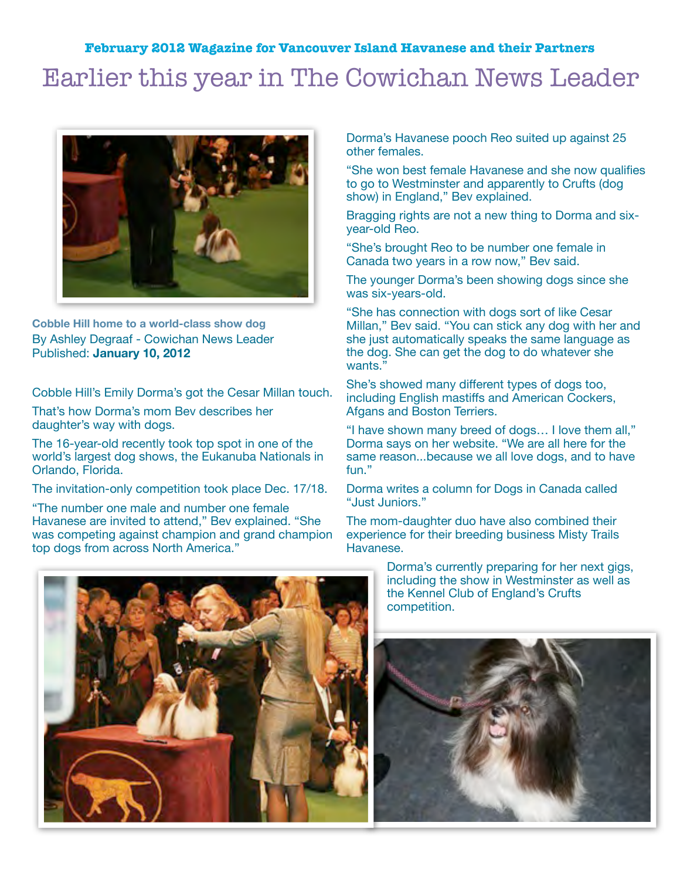### Earlier this year in The Cowichan News Leader



**Cobble Hill home to a world-class show dog** By Ashley Degraaf - Cowichan News Leader Published: **January 10, 2012** 

Cobble Hill's Emily Dorma's got the Cesar Millan touch.

That's how Dorma's mom Bev describes her daughter's way with dogs.

The 16-year-old recently took top spot in one of the world's largest dog shows, the Eukanuba Nationals in Orlando, Florida.

The invitation-only competition took place Dec. 17/18.

"The number one male and number one female Havanese are invited to attend," Bev explained. "She was competing against champion and grand champion top dogs from across North America."

Dorma's Havanese pooch Reo suited up against 25 other females.

"She won best female Havanese and she now qualifies to go to Westminster and apparently to Crufts (dog show) in England," Bev explained.

Bragging rights are not a new thing to Dorma and sixyear-old Reo.

"She's brought Reo to be number one female in Canada two years in a row now," Bev said.

The younger Dorma's been showing dogs since she was six-years-old.

"She has connection with dogs sort of like Cesar Millan," Bev said. "You can stick any dog with her and she just automatically speaks the same language as the dog. She can get the dog to do whatever she wants."

She's showed many different types of dogs too, including English mastiffs and American Cockers, Afgans and Boston Terriers.

"I have shown many breed of dogs… I love them all," Dorma says on her website. "We are all here for the same reason...because we all love dogs, and to have fun."

Dorma writes a column for Dogs in Canada called "Just Juniors."

The mom-daughter duo have also combined their experience for their breeding business Misty Trails Havanese.



Dorma's currently preparing for her next gigs, including the show in Westminster as well as the Kennel Club of England's Crufts competition.

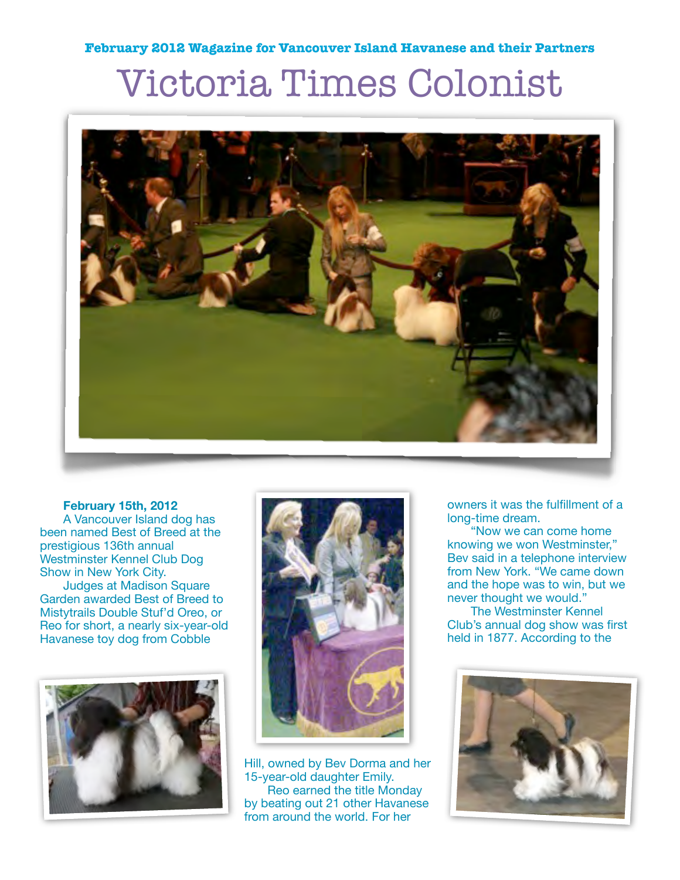## Victoria Times Colonist



#### **February 15th, 2012**

A Vancouver Island dog has been named Best of Breed at the prestigious 136th annual Westminster Kennel Club Dog Show in New York City.

Judges at Madison Square Garden awarded Best of Breed to Mistytrails Double Stuf'd Oreo, or Reo for short, a nearly six-year-old Havanese toy dog from Cobble





Hill, owned by Bev Dorma and her 15-year-old daughter Emily. Reo earned the title Monday by beating out 21 other Havanese from around the world. For her

owners it was the fulfillment of a long-time dream.

"Now we can come home knowing we won Westminster," Bev said in a telephone interview from New York. "We came down and the hope was to win, but we never thought we would."

The Westminster Kennel Club's annual dog show was first held in 1877. According to the

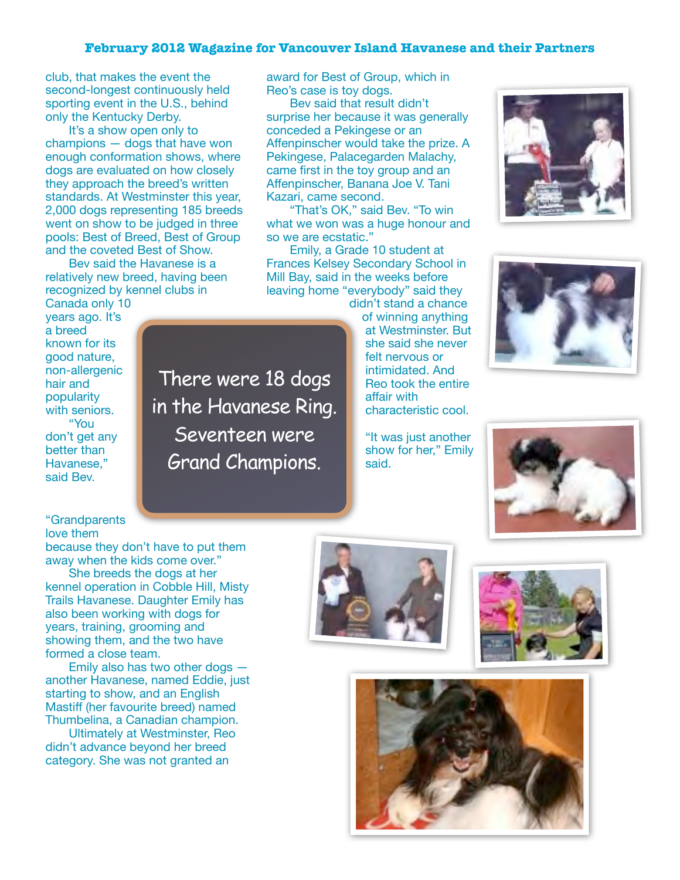club, that makes the event the second-longest continuously held sporting event in the U.S., behind only the Kentucky Derby.

It's a show open only to champions — dogs that have won enough conformation shows, where dogs are evaluated on how closely they approach the breed's written standards. At Westminster this year, 2,000 dogs representing 185 breeds went on show to be judged in three pools: Best of Breed, Best of Group and the coveted Best of Show.

Bev said the Havanese is a relatively new breed, having been recognized by kennel clubs in Canada only 10

years ago. It's known for its good nature, non-allergenic with seniors. don't get any There were 18 dogs in the Havanese Ring. Seventeen were Grand Champions.

award for Best of Group, which in Reo's case is toy dogs.

Bev said that result didn't surprise her because it was generally conceded a Pekingese or an Affenpinscher would take the prize. A Pekingese, Palacegarden Malachy, came first in the toy group and an Affenpinscher, Banana Joe V. Tani Kazari, came second.

"That's OK," said Bev. "To win what we won was a huge honour and so we are ecstatic."

Emily, a Grade 10 student at Frances Kelsey Secondary School in Mill Bay, said in the weeks before leaving home "everybody" said they

didn't stand a chance of winning anything at Westminster. But she said she never felt nervous or intimidated. And Reo took the entire affair with characteristic cool.

> "It was just another show for her," Emily said.







"Grandparents

a breed

hair and popularity

"You

better than Havanese," said Bev.

love them

because they don't have to put them away when the kids come over."

She breeds the dogs at her kennel operation in Cobble Hill, Misty Trails Havanese. Daughter Emily has also been working with dogs for years, training, grooming and showing them, and the two have formed a close team.

Emily also has two other dogs another Havanese, named Eddie, just starting to show, and an English Mastiff (her favourite breed) named Thumbelina, a Canadian champion.

Ultimately at Westminster, Reo didn't advance beyond her breed category. She was not granted an





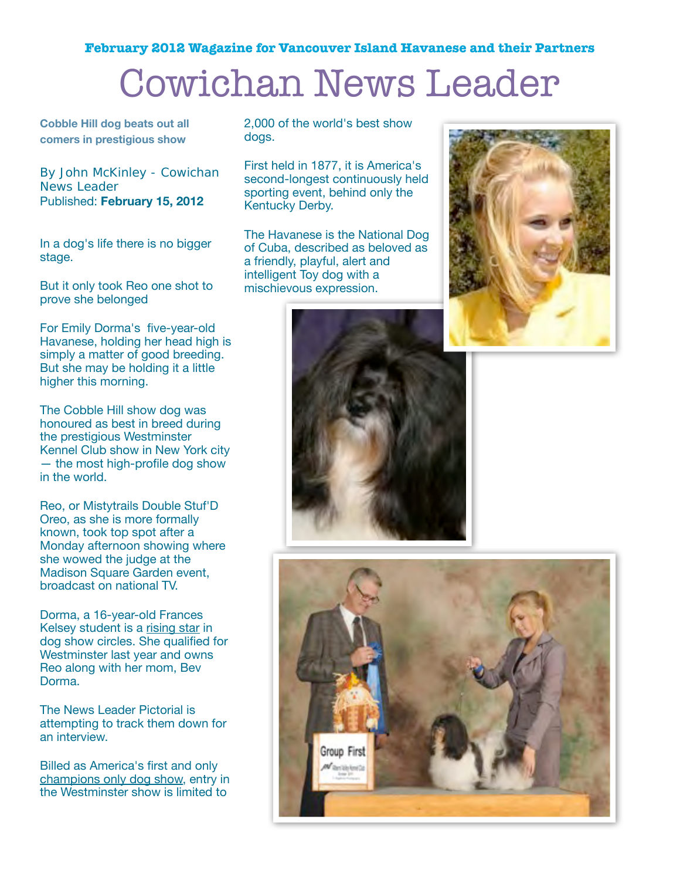## Cowichan News Leader

**Cobble Hill dog beats out all comers in prestigious show**

By John McKinley - Cowichan News Leader Published: **February 15, 2012** 

In a dog's life there is no bigger stage.

But it only took Reo one shot to prove she belonged

For Emily Dorma's five-year-old Havanese, holding her head high is simply a matter of good breeding. But she may be holding it a little higher this morning.

The Cobble Hill show dog was honoured as best in breed during the prestigious Westminster Kennel Club show in New York city — the most high-profile dog show in the world.

Reo, or Mistytrails Double Stuf'D Oreo, as she is more formally known, took top spot after a Monday afternoon showing where she wowed the judge at the Madison Square Garden event, broadcast on national TV.

Dorma, a 16-year-old Frances Kelsey student is a [rising star](http://www.cowichannewsleader.com/news/137015983.html) in dog show circles. She qualified for Westminster last year and owns Reo along with her mom, Bev Dorma.

The News Leader Pictorial is attempting to track them down for an interview.

Billed as America's first and only [champions only dog show,](http://www.westminsterkennelclub.org/) entry in the Westminster show is limited to

2,000 of the world's best show dogs.

First held in 1877, it is America's second-longest continuously held sporting event, behind only the Kentucky Derby.

The Havanese is the National Dog of Cuba, described as beloved as a friendly, playful, alert and intelligent Toy dog with a mischievous expression.





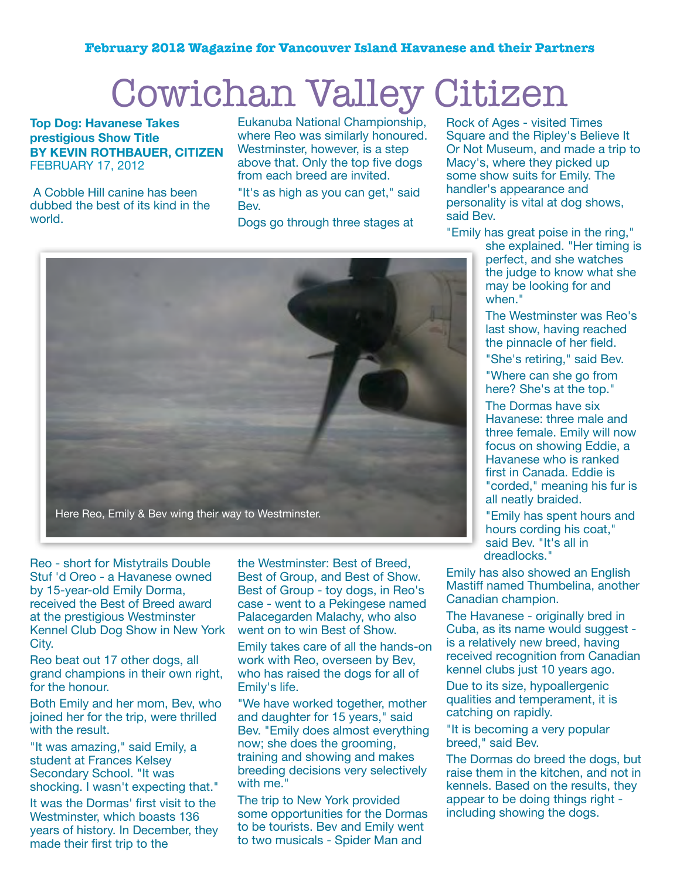## Cowichan Valley Citizen

**Top Dog: Havanese Takes prestigious Show Title BY KEVIN ROTHBAUER, CITIZEN** FEBRUARY 17, 2012

A Cobble Hill canine has been dubbed the best of its kind in the world.

Eukanuba National Championship, where Reo was similarly honoured. Westminster, however, is a step above that. Only the top five dogs from each breed are invited.

"It's as high as you can get," said Bev.

Dogs go through three stages at



Reo - short for Mistytrails Double Stuf 'd Oreo - a Havanese owned by 15-year-old Emily Dorma, received the Best of Breed award at the prestigious Westminster Kennel Club Dog Show in New York City.

Reo beat out 17 other dogs, all grand champions in their own right, for the honour.

Both Emily and her mom, Bev, who joined her for the trip, were thrilled with the result.

"It was amazing," said Emily, a student at Frances Kelsey Secondary School. "It was shocking. I wasn't expecting that."

It was the Dormas' first visit to the Westminster, which boasts 136 years of history. In December, they made their first trip to the

the Westminster: Best of Breed, Best of Group, and Best of Show. Best of Group - toy dogs, in Reo's case - went to a Pekingese named Palacegarden Malachy, who also went on to win Best of Show.

Emily takes care of all the hands-on work with Reo, overseen by Bev, who has raised the dogs for all of Emily's life.

"We have worked together, mother and daughter for 15 years," said Bev. "Emily does almost everything now; she does the grooming, training and showing and makes breeding decisions very selectively with me."

The trip to New York provided some opportunities for the Dormas to be tourists. Bev and Emily went to two musicals - Spider Man and

Rock of Ages - visited Times Square and the Ripley's Believe It Or Not Museum, and made a trip to Macy's, where they picked up some show suits for Emily. The handler's appearance and personality is vital at dog shows, said Bev.

"Emily has great poise in the ring,"

she explained. "Her timing is perfect, and she watches the judge to know what she may be looking for and when."

The Westminster was Reo's last show, having reached the pinnacle of her field.

"She's retiring," said Bev.

"Where can she go from here? She's at the top."

The Dormas have six Havanese: three male and three female. Emily will now focus on showing Eddie, a Havanese who is ranked first in Canada. Eddie is "corded," meaning his fur is all neatly braided.

"Emily has spent hours and hours cording his coat," said Bev. "It's all in dreadlocks."

Emily has also showed an English Mastiff named Thumbelina, another Canadian champion.

The Havanese - originally bred in Cuba, as its name would suggest is a relatively new breed, having received recognition from Canadian kennel clubs just 10 years ago.

Due to its size, hypoallergenic qualities and temperament, it is catching on rapidly.

"It is becoming a very popular breed," said Bev.

The Dormas do breed the dogs, but raise them in the kitchen, and not in kennels. Based on the results, they appear to be doing things right including showing the dogs.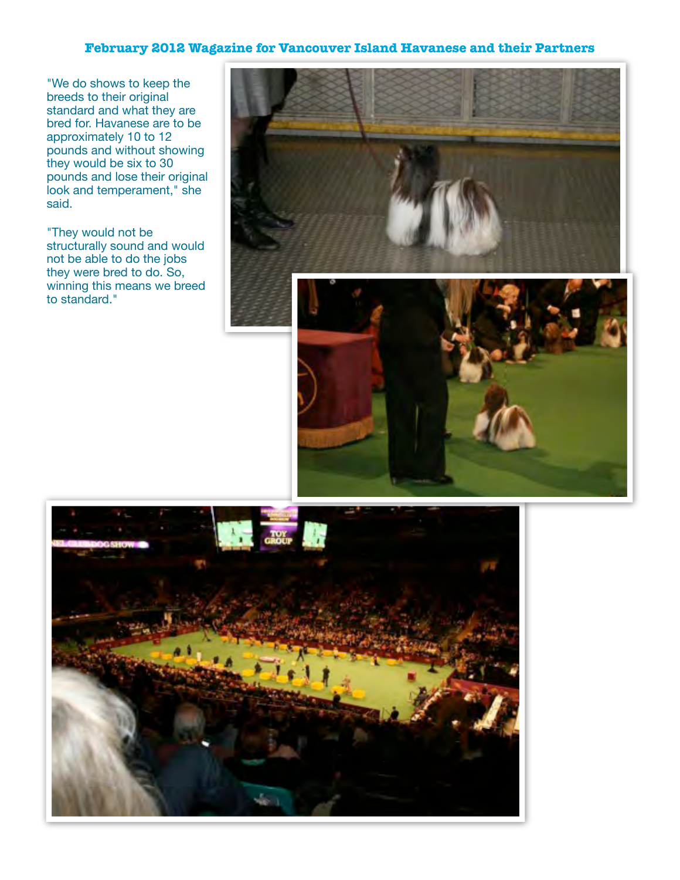"We do shows to keep the breeds to their original standard and what they are bred for. Havanese are to be approximately 10 to 12 pounds and without showing they would be six to 30 pounds and lose their original look and temperament," she said.

"They would not be structurally sound and would not be able to do the jobs they were bred to do. So, winning this means we breed to standard."

![](_page_6_Picture_3.jpeg)

![](_page_6_Picture_4.jpeg)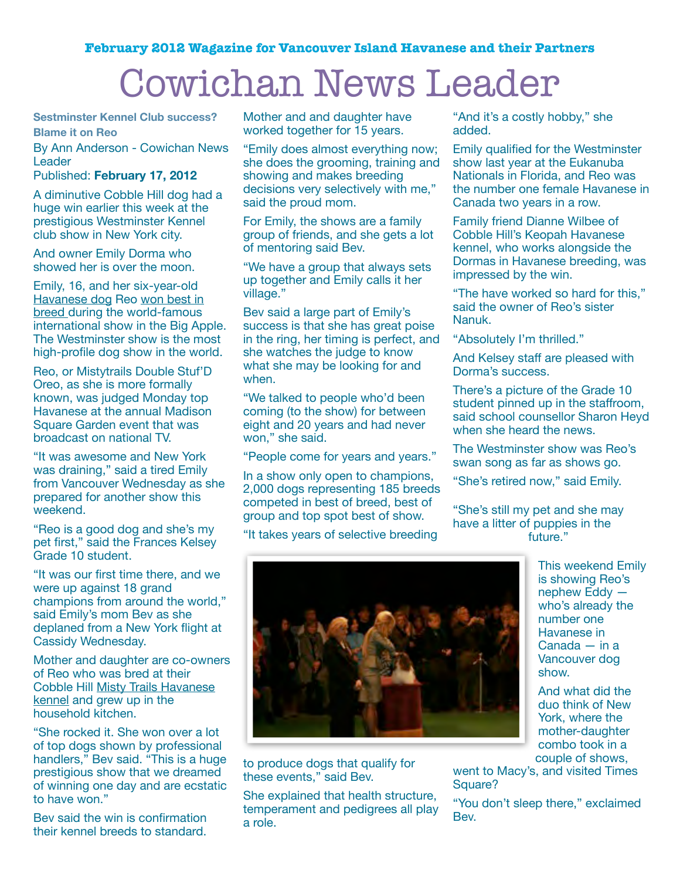## Cowichan News Leader

**Sestminster Kennel Club success? Blame it on Reo**

By Ann Anderson - Cowichan News

**Leader** 

### Published: **February 17, 2012**

A diminutive Cobble Hill dog had a huge win earlier this week at the prestigious Westminster Kennel club show in New York city.

And owner Emily Dorma who showed her is over the moon.

Emily, 16, and her six-year-old [Havanese dog](http://en.wikipedia.org/wiki/Havanese) Reo [won best in](http://www.cowichannewsleader.com/news/139369338.html)  [breed d](http://www.cowichannewsleader.com/news/139369338.html)uring the world-famous international show in the Big Apple. The Westminster show is the most high-profile dog show in the world.

Reo, or Mistytrails Double Stuf'D Oreo, as she is more formally known, was judged Monday top Havanese at the annual Madison Square Garden event that was broadcast on national TV.

"It was awesome and New York was draining," said a tired Emily from Vancouver Wednesday as she prepared for another show this weekend.

"Reo is a good dog and she's my pet first," said the Frances Kelsey Grade 10 student.

"It was our first time there, and we were up against 18 grand champions from around the world," said Emily's mom Bev as she deplaned from a New York flight at Cassidy Wednesday.

Mother and daughter are co-owners of Reo who was bred at their Cobble Hill [Misty Trails Havanese](http://www.elitehavanese.com/bev.html)  [kennel](http://www.elitehavanese.com/bev.html) and grew up in the household kitchen.

"She rocked it. She won over a lot of top dogs shown by professional handlers," Bev said. "This is a huge prestigious show that we dreamed of winning one day and are ecstatic to have won."

Bev said the win is confirmation their kennel breeds to standard.

Mother and and daughter have worked together for 15 years.

"Emily does almost everything now; she does the grooming, training and showing and makes breeding decisions very selectively with me," said the proud mom.

For Emily, the shows are a family group of friends, and she gets a lot of mentoring said Bev.

"We have a group that always sets up together and Emily calls it her village."

Bev said a large part of Emily's success is that she has great poise in the ring, her timing is perfect, and she watches the judge to know what she may be looking for and when.

"We talked to people who'd been coming (to the show) for between eight and 20 years and had never won," she said.

"People come for years and years."

In a show only open to champions, 2,000 dogs representing 185 breeds competed in best of breed, best of group and top spot best of show.

"It takes years of selective breeding

"And it's a costly hobby," she added.

Emily qualified for the Westminster show last year at the Eukanuba Nationals in Florida, and Reo was the number one female Havanese in Canada two years in a row.

Family friend Dianne Wilbee of Cobble Hill's Keopah Havanese kennel, who works alongside the Dormas in Havanese breeding, was impressed by the win.

"The have worked so hard for this," said the owner of Reo's sister Nanuk.

"Absolutely I'm thrilled."

And Kelsey staff are pleased with Dorma's success.

There's a picture of the Grade 10 student pinned up in the staffroom, said school counsellor Sharon Heyd when she heard the news.

The Westminster show was Reo's swan song as far as shows go.

"She's retired now," said Emily.

"She's still my pet and she may have a litter of puppies in the future."

![](_page_7_Picture_35.jpeg)

to produce dogs that qualify for these events," said Bev.

She explained that health structure, temperament and pedigrees all play a role.

This weekend Emily is showing Reo's nephew Eddy who's already the number one Havanese in Canada — in a Vancouver dog show.

And what did the duo think of New York, where the mother-daughter combo took in a couple of shows,

went to Macy's, and visited Times Square?

"You don't sleep there," exclaimed Bev.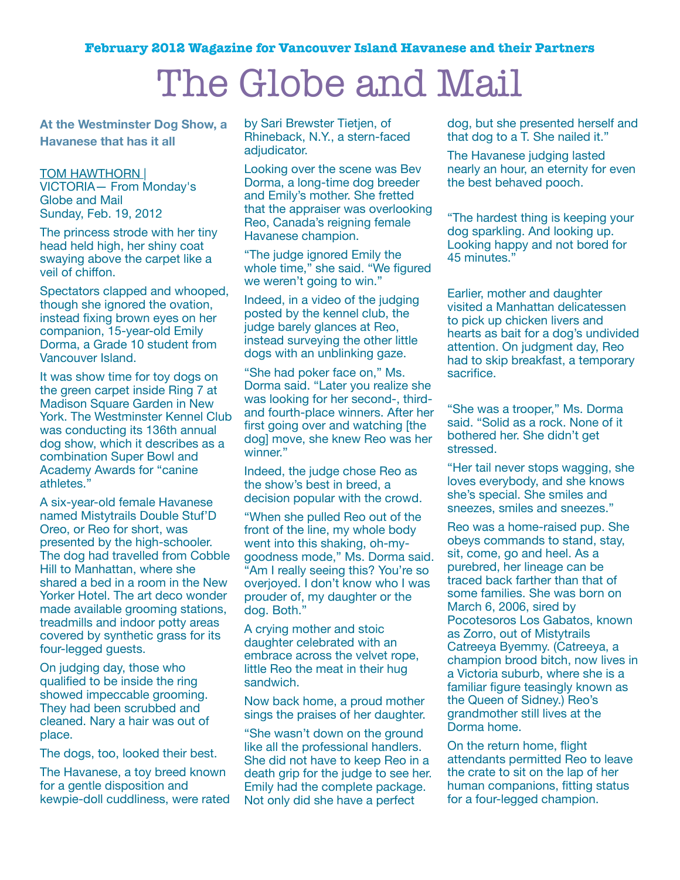### The Globe and Mail

**At the Westminster Dog Show, a Havanese that has it all**

### [TOM HAWTHORN |](http://www.theglobeandmail.com/authors/tom-hawthorn/)

VICTORIA— From Monday's Globe and Mail Sunday, Feb. 19, 2012

The princess strode with her tiny head held high, her shiny coat swaying above the carpet like a veil of chiffon.

Spectators clapped and whooped, though she ignored the ovation, instead fixing brown eyes on her companion, 15-year-old Emily Dorma, a Grade 10 student from Vancouver Island.

It was show time for toy dogs on the green carpet inside Ring 7 at Madison Square Garden in New York. The Westminster Kennel Club was conducting its 136th annual dog show, which it describes as a combination Super Bowl and Academy Awards for "canine athletes."

A six-year-old female Havanese named Mistytrails Double Stuf'D Oreo, or Reo for short, was presented by the high-schooler. The dog had travelled from Cobble Hill to Manhattan, where she shared a bed in a room in the New Yorker Hotel. The art deco wonder made available grooming stations, treadmills and indoor potty areas covered by synthetic grass for its four-legged guests.

On judging day, those who qualified to be inside the ring showed impeccable grooming. They had been scrubbed and cleaned. Nary a hair was out of place.

The dogs, too, looked their best.

The Havanese, a toy breed known for a gentle disposition and kewpie-doll cuddliness, were rated by Sari Brewster Tietjen, of Rhineback, N.Y., a stern-faced adjudicator.

Looking over the scene was Bev Dorma, a long-time dog breeder and Emily's mother. She fretted that the appraiser was overlooking Reo, Canada's reigning female Havanese champion.

"The judge ignored Emily the whole time," she said. "We figured we weren't going to win."

Indeed, in a video of the judging posted by the kennel club, the judge barely glances at Reo, instead surveying the other little dogs with an unblinking gaze.

"She had poker face on," Ms. Dorma said. "Later you realize she was looking for her second-, thirdand fourth-place winners. After her first going over and watching [the dog] move, she knew Reo was her winner."

Indeed, the judge chose Reo as the show's best in breed, a decision popular with the crowd.

"When she pulled Reo out of the front of the line, my whole body went into this shaking, oh-mygoodness mode," Ms. Dorma said. "Am I really seeing this? You're so overjoyed. I don't know who I was prouder of, my daughter or the dog. Both."

A crying mother and stoic daughter celebrated with an embrace across the velvet rope, little Reo the meat in their hug sandwich.

Now back home, a proud mother sings the praises of her daughter.

"She wasn't down on the ground like all the professional handlers. She did not have to keep Reo in a death grip for the judge to see her. Emily had the complete package. Not only did she have a perfect

dog, but she presented herself and that dog to a T. She nailed it."

The Havanese judging lasted nearly an hour, an eternity for even the best behaved pooch.

"The hardest thing is keeping your dog sparkling. And looking up. Looking happy and not bored for 45 minutes."

Earlier, mother and daughter visited a Manhattan delicatessen to pick up chicken livers and hearts as bait for a dog's undivided attention. On judgment day, Reo had to skip breakfast, a temporary sacrifice.

"She was a trooper," Ms. Dorma said. "Solid as a rock. None of it bothered her. She didn't get stressed.

"Her tail never stops wagging, she loves everybody, and she knows she's special. She smiles and sneezes, smiles and sneezes."

Reo was a home-raised pup. She obeys commands to stand, stay, sit, come, go and heel. As a purebred, her lineage can be traced back farther than that of some families. She was born on March 6, 2006, sired by Pocotesoros Los Gabatos, known as Zorro, out of Mistytrails Catreeya Byemmy. (Catreeya, a champion brood bitch, now lives in a Victoria suburb, where she is a familiar figure teasingly known as the Queen of Sidney.) Reo's grandmother still lives at the Dorma home.

On the return home, flight attendants permitted Reo to leave the crate to sit on the lap of her human companions, fitting status for a four-legged champion.